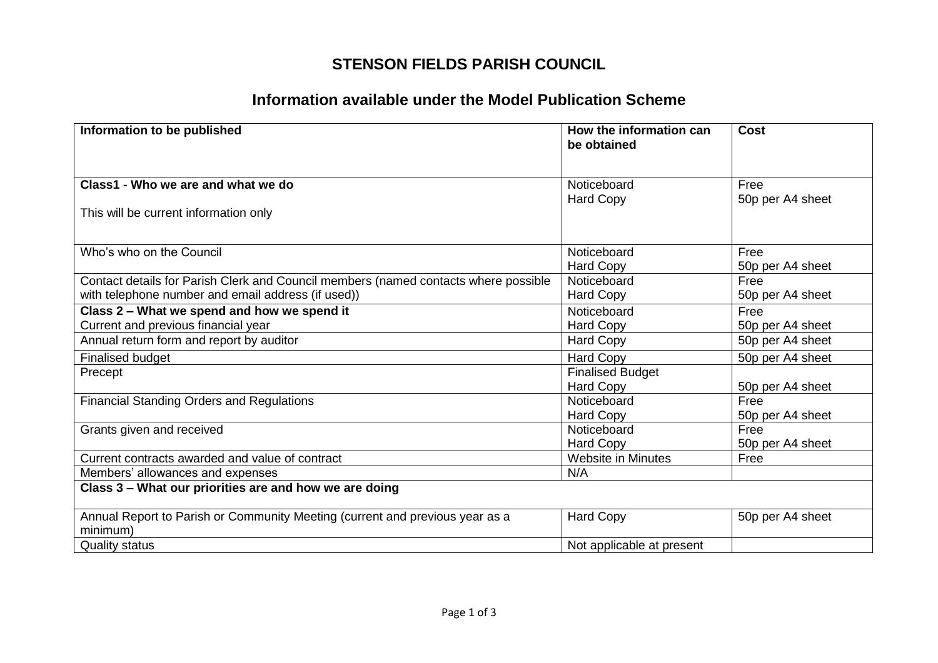## **STENSON FIELDS PARISH COUNCIL**

## **Information available under the Model Publication Scheme**

| Information to be published                                                                                                               | How the information can<br>be obtained              | Cost                                         |
|-------------------------------------------------------------------------------------------------------------------------------------------|-----------------------------------------------------|----------------------------------------------|
| Class1 - Who we are and what we do<br>This will be current information only                                                               | Noticeboard<br><b>Hard Copy</b>                     | Free<br>50p per A4 sheet                     |
| Who's who on the Council                                                                                                                  | Noticeboard<br><b>Hard Copy</b>                     | Free<br>50p per A4 sheet                     |
| Contact details for Parish Clerk and Council members (named contacts where possible<br>with telephone number and email address (if used)) | Noticeboard<br><b>Hard Copy</b>                     | Free<br>50p per A4 sheet                     |
| Class 2 - What we spend and how we spend it<br>Current and previous financial year<br>Annual return form and report by auditor            | Noticeboard<br><b>Hard Copy</b><br><b>Hard Copy</b> | Free<br>50p per A4 sheet<br>50p per A4 sheet |
| <b>Finalised budget</b>                                                                                                                   | Hard Copy                                           | 50p per A4 sheet                             |
| Precept                                                                                                                                   | <b>Finalised Budget</b><br><b>Hard Copy</b>         | 50p per A4 sheet                             |
| <b>Financial Standing Orders and Regulations</b>                                                                                          | Noticeboard<br><b>Hard Copy</b>                     | Free<br>50p per A4 sheet                     |
| Grants given and received                                                                                                                 | Noticeboard<br><b>Hard Copy</b>                     | Free<br>50p per A4 sheet                     |
| Current contracts awarded and value of contract                                                                                           | <b>Website in Minutes</b>                           | Free                                         |
| Members' allowances and expenses                                                                                                          | N/A                                                 |                                              |
| Class 3 - What our priorities are and how we are doing                                                                                    |                                                     |                                              |
| Annual Report to Parish or Community Meeting (current and previous year as a<br>minimum)                                                  | Hard Copy                                           | 50p per A4 sheet                             |
| <b>Quality status</b>                                                                                                                     | Not applicable at present                           |                                              |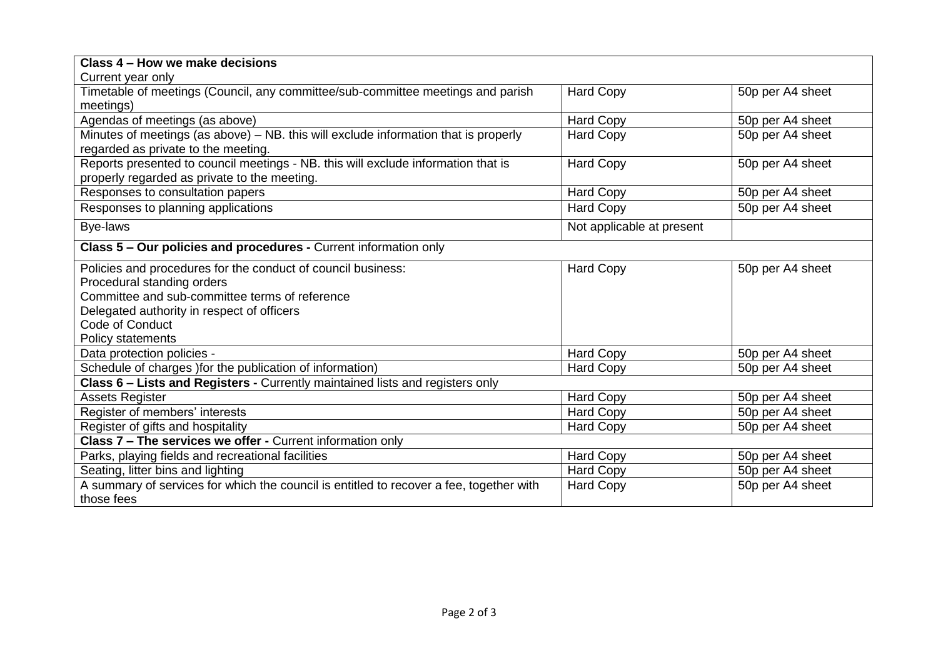| Class 4 – How we make decisions                                                         |                           |                  |  |  |
|-----------------------------------------------------------------------------------------|---------------------------|------------------|--|--|
| Current year only                                                                       |                           |                  |  |  |
| Timetable of meetings (Council, any committee/sub-committee meetings and parish         | <b>Hard Copy</b>          | 50p per A4 sheet |  |  |
| meetings)                                                                               |                           |                  |  |  |
| Agendas of meetings (as above)                                                          | <b>Hard Copy</b>          | 50p per A4 sheet |  |  |
| Minutes of meetings (as above) - NB. this will exclude information that is properly     | <b>Hard Copy</b>          | 50p per A4 sheet |  |  |
| regarded as private to the meeting.                                                     |                           |                  |  |  |
| Reports presented to council meetings - NB. this will exclude information that is       | <b>Hard Copy</b>          | 50p per A4 sheet |  |  |
| properly regarded as private to the meeting.                                            |                           |                  |  |  |
| Responses to consultation papers                                                        | <b>Hard Copy</b>          | 50p per A4 sheet |  |  |
| Responses to planning applications                                                      | <b>Hard Copy</b>          | 50p per A4 sheet |  |  |
| Bye-laws                                                                                | Not applicable at present |                  |  |  |
| Class 5 - Our policies and procedures - Current information only                        |                           |                  |  |  |
| Policies and procedures for the conduct of council business:                            | <b>Hard Copy</b>          | 50p per A4 sheet |  |  |
| Procedural standing orders                                                              |                           |                  |  |  |
| Committee and sub-committee terms of reference                                          |                           |                  |  |  |
| Delegated authority in respect of officers                                              |                           |                  |  |  |
| Code of Conduct                                                                         |                           |                  |  |  |
| Policy statements                                                                       |                           |                  |  |  |
| Data protection policies -                                                              | <b>Hard Copy</b>          | 50p per A4 sheet |  |  |
| Schedule of charges ) for the publication of information)                               | <b>Hard Copy</b>          | 50p per A4 sheet |  |  |
| Class 6 - Lists and Registers - Currently maintained lists and registers only           |                           |                  |  |  |
| <b>Assets Register</b>                                                                  | <b>Hard Copy</b>          | 50p per A4 sheet |  |  |
| Register of members' interests                                                          | <b>Hard Copy</b>          | 50p per A4 sheet |  |  |
| Register of gifts and hospitality                                                       | <b>Hard Copy</b>          | 50p per A4 sheet |  |  |
| Class 7 - The services we offer - Current information only                              |                           |                  |  |  |
| Parks, playing fields and recreational facilities                                       | Hard Copy                 | 50p per A4 sheet |  |  |
| Seating, litter bins and lighting                                                       | <b>Hard Copy</b>          | 50p per A4 sheet |  |  |
| A summary of services for which the council is entitled to recover a fee, together with | <b>Hard Copy</b>          | 50p per A4 sheet |  |  |
| those fees                                                                              |                           |                  |  |  |